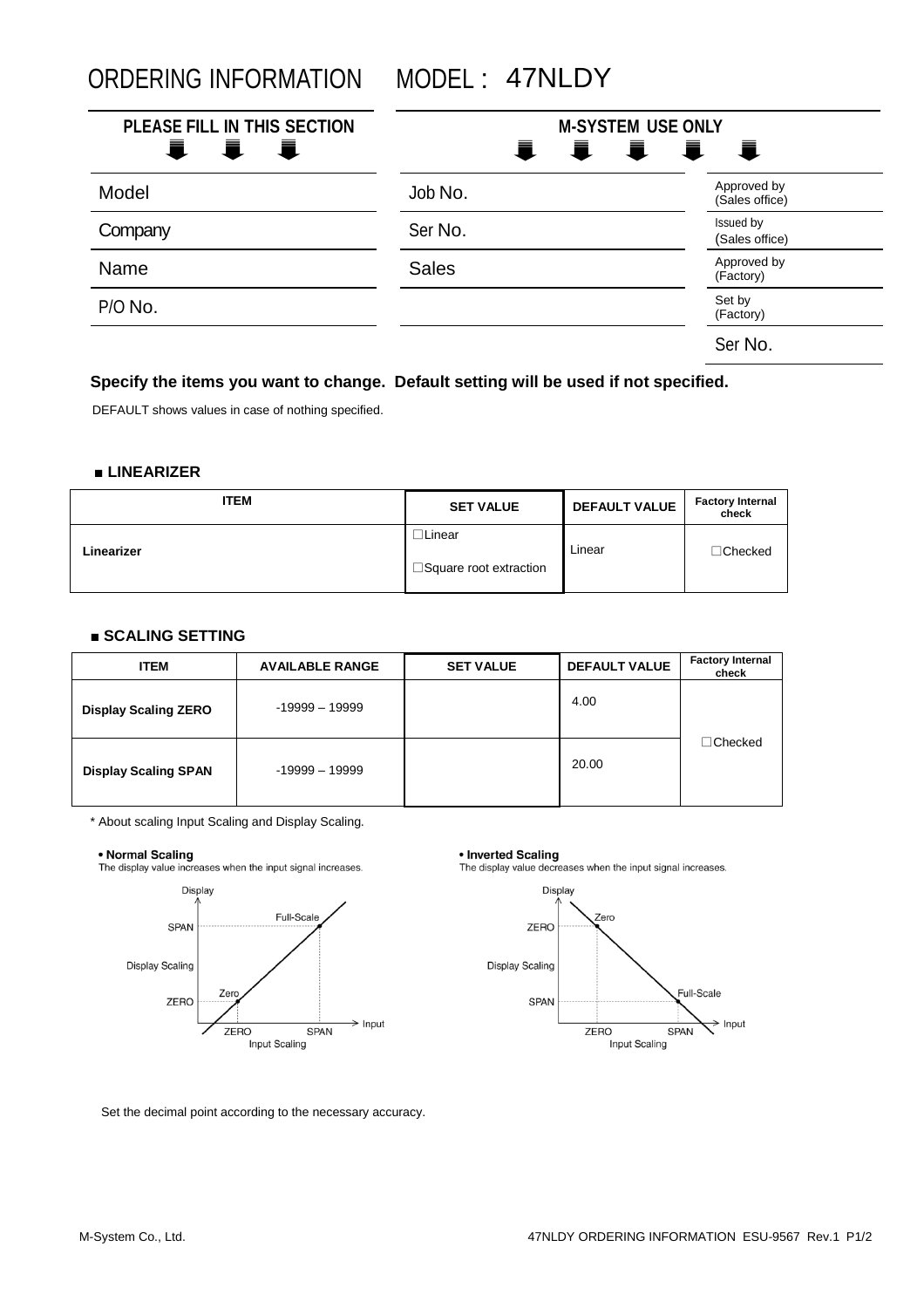ORDERING INFORMATION MODEL : 47NLDY

| PLEASE FILL IN THIS SECTION<br>量 量<br>■ | <b>M-SYSTEM USE ONLY</b><br>IIII |                               |
|-----------------------------------------|----------------------------------|-------------------------------|
| Model                                   | Job No.                          | Approved by<br>(Sales office) |
| Company                                 | Ser No.                          | Issued by<br>(Sales office)   |
| Name                                    | <b>Sales</b>                     | Approved by<br>(Factory)      |
| P/O No.                                 |                                  | Set by<br>(Factory)           |
|                                         |                                  | Ser No.                       |

## **Specify the items you want to change. Default setting will be used if not specified.**

DEFAULT shows values in case of nothing specified.

### **■ LINEARIZER**

| <b>ITEM</b> | <b>SET VALUE</b>                          | <b>DEFAULT VALUE</b> | <b>Factory Internal</b><br>check |
|-------------|-------------------------------------------|----------------------|----------------------------------|
| Linearizer  | ∟lLinear<br>$\Box$ Square root extraction | Linear               | $\Box$ Checked                   |

### **■ SCALING SETTING**

| <b>ITEM</b>                 | <b>AVAILABLE RANGE</b> | <b>SET VALUE</b> | <b>DEFAULT VALUE</b> | <b>Factory Internal</b><br>check |
|-----------------------------|------------------------|------------------|----------------------|----------------------------------|
| <b>Display Scaling ZERO</b> | $-19999 - 19999$       |                  | 4.00                 |                                  |
| <b>Display Scaling SPAN</b> | $-19999 - 19999$       |                  | 20.00                | $\sqsupset$ Checked              |

\* About scaling Input Scaling and Display Scaling.

#### • Normal Scaling

The display value increases when the input signal increases.



#### • Inverted Scaling

The display value decreases when the input signal increases.



Set the decimal point according to the necessary accuracy.